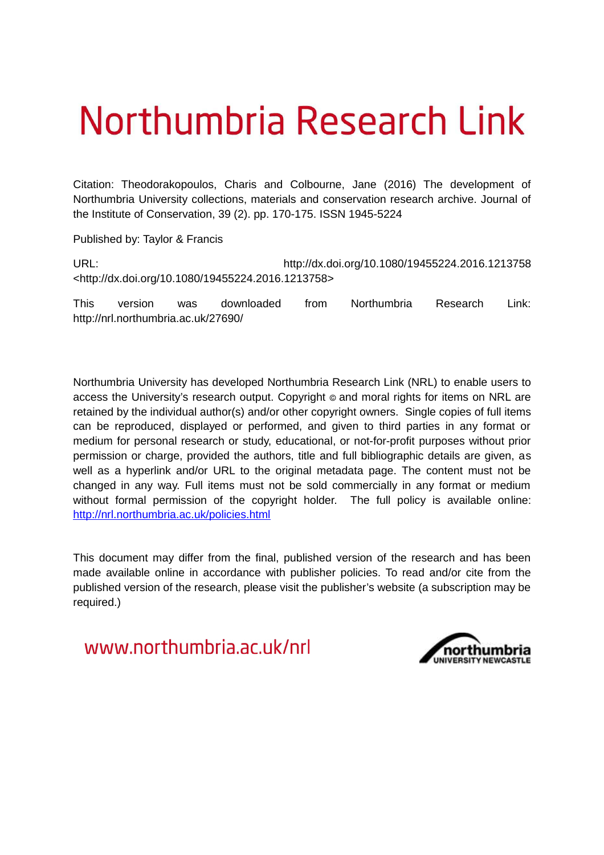# Northumbria Research Link

Citation: Theodorakopoulos, Charis and Colbourne, Jane (2016) The development of Northumbria University collections, materials and conservation research archive. Journal of the Institute of Conservation, 39 (2). pp. 170-175. ISSN 1945-5224

Published by: Taylor & Francis

URL: http://dx.doi.org/10.1080/19455224.2016.1213758 <http://dx.doi.org/10.1080/19455224.2016.1213758>

This version was downloaded from Northumbria Research Link: http://nrl.northumbria.ac.uk/27690/

Northumbria University has developed Northumbria Research Link (NRL) to enable users to access the University's research output. Copyright  $\circ$  and moral rights for items on NRL are retained by the individual author(s) and/or other copyright owners. Single copies of full items can be reproduced, displayed or performed, and given to third parties in any format or medium for personal research or study, educational, or not-for-profit purposes without prior permission or charge, provided the authors, title and full bibliographic details are given, as well as a hyperlink and/or URL to the original metadata page. The content must not be changed in any way. Full items must not be sold commercially in any format or medium without formal permission of the copyright holder. The full policy is available online: <http://nrl.northumbria.ac.uk/policies.html>

This document may differ from the final, published version of the research and has been made available online in accordance with publisher policies. To read and/or cite from the published version of the research, please visit the publisher's website (a subscription may be required.)

www.northumbria.ac.uk/nrl

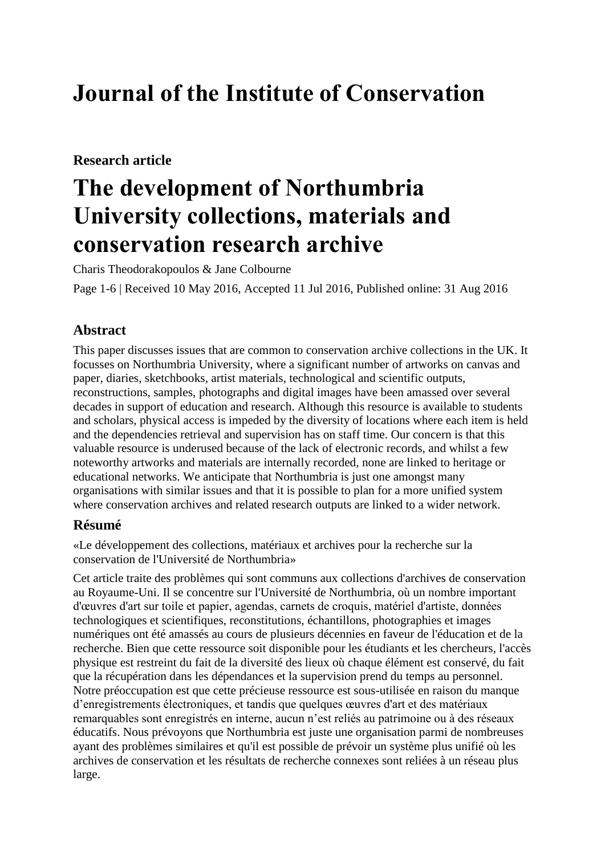# **Journal of the Institute of Conservation**

#### **Research article**

# **The development of Northumbria University collections, materials and conservation research archive**

Charis Theodorakopoulos & Jane Colbourne

Page 1-6 | Received 10 May 2016, Accepted 11 Jul 2016, Published online: 31 Aug 2016

#### **Abstract**

This paper discusses issues that are common to conservation archive collections in the UK. It focusses on Northumbria University, where a significant number of artworks on canvas and paper, diaries, sketchbooks, artist materials, technological and scientific outputs, reconstructions, samples, photographs and digital images have been amassed over several decades in support of education and research. Although this resource is available to students and scholars, physical access is impeded by the diversity of locations where each item is held and the dependencies retrieval and supervision has on staff time. Our concern is that this valuable resource is underused because of the lack of electronic records, and whilst a few noteworthy artworks and materials are internally recorded, none are linked to heritage or educational networks. We anticipate that Northumbria is just one amongst many organisations with similar issues and that it is possible to plan for a more unified system where conservation archives and related research outputs are linked to a wider network.

#### **Résumé**

«Le développement des collections, matériaux et archives pour la recherche sur la conservation de l'Université de Northumbria»

Cet article traite des problèmes qui sont communs aux collections d'archives de conservation au Royaume-Uni. Il se concentre sur l'Université de Northumbria, où un nombre important d'œuvres d'art sur toile et papier, agendas, carnets de croquis, matériel d'artiste, données technologiques et scientifiques, reconstitutions, échantillons, photographies et images numériques ont été amassés au cours de plusieurs décennies en faveur de l'éducation et de la recherche. Bien que cette ressource soit disponible pour les étudiants et les chercheurs, l'accès physique est restreint du fait de la diversité des lieux où chaque élément est conservé, du fait que la récupération dans les dépendances et la supervision prend du temps au personnel. Notre préoccupation est que cette précieuse ressource est sous-utilisée en raison du manque d'enregistrements électroniques, et tandis que quelques œuvres d'art et des matériaux remarquables sont enregistrés en interne, aucun n'est reliés au patrimoine ou à des réseaux éducatifs. Nous prévoyons que Northumbria est juste une organisation parmi de nombreuses ayant des problèmes similaires et qu'il est possible de prévoir un système plus unifié où les archives de conservation et les résultats de recherche connexes sont reliées à un réseau plus large.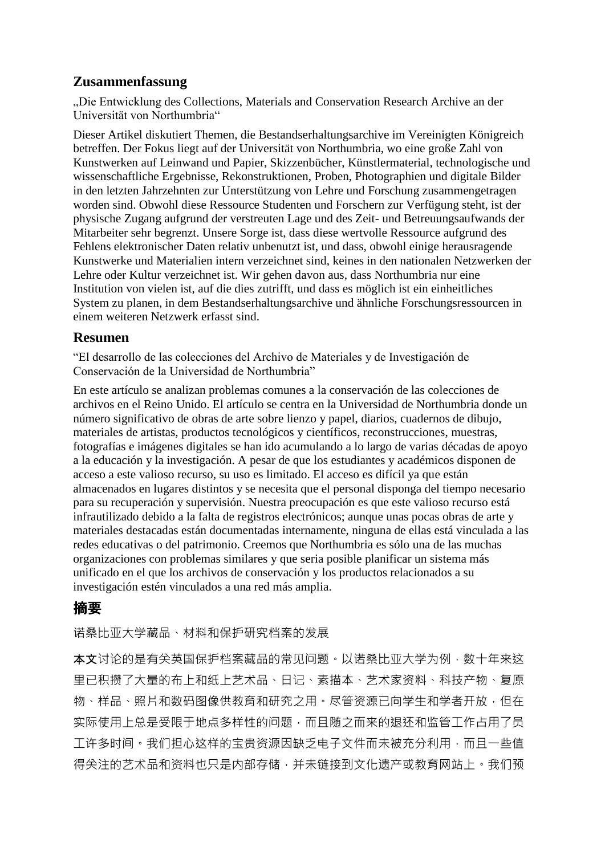#### **Zusammenfassung**

"Die Entwicklung des Collections, Materials and Conservation Research Archive an der Universität von Northumbria"

Dieser Artikel diskutiert Themen, die Bestandserhaltungsarchive im Vereinigten Königreich betreffen. Der Fokus liegt auf der Universität von Northumbria, wo eine große Zahl von Kunstwerken auf Leinwand und Papier, Skizzenbücher, Künstlermaterial, technologische und wissenschaftliche Ergebnisse, Rekonstruktionen, Proben, Photographien und digitale Bilder in den letzten Jahrzehnten zur Unterstützung von Lehre und Forschung zusammengetragen worden sind. Obwohl diese Ressource Studenten und Forschern zur Verfügung steht, ist der physische Zugang aufgrund der verstreuten Lage und des Zeit- und Betreuungsaufwands der Mitarbeiter sehr begrenzt. Unsere Sorge ist, dass diese wertvolle Ressource aufgrund des Fehlens elektronischer Daten relativ unbenutzt ist, und dass, obwohl einige herausragende Kunstwerke und Materialien intern verzeichnet sind, keines in den nationalen Netzwerken der Lehre oder Kultur verzeichnet ist. Wir gehen davon aus, dass Northumbria nur eine Institution von vielen ist, auf die dies zutrifft, und dass es möglich ist ein einheitliches System zu planen, in dem Bestandserhaltungsarchive und ähnliche Forschungsressourcen in einem weiteren Netzwerk erfasst sind.

#### **Resumen**

"El desarrollo de las colecciones del Archivo de Materiales y de Investigación de Conservación de la Universidad de Northumbria"

En este artículo se analizan problemas comunes a la conservación de las colecciones de archivos en el Reino Unido. El artículo se centra en la Universidad de Northumbria donde un número significativo de obras de arte sobre lienzo y papel, diarios, cuadernos de dibujo, materiales de artistas, productos tecnológicos y científicos, reconstrucciones, muestras, fotografías e imágenes digitales se han ido acumulando a lo largo de varias décadas de apoyo a la educación y la investigación. A pesar de que los estudiantes y académicos disponen de acceso a este valioso recurso, su uso es limitado. El acceso es difícil ya que están almacenados en lugares distintos y se necesita que el personal disponga del tiempo necesario para su recuperación y supervisión. Nuestra preocupación es que este valioso recurso está infrautilizado debido a la falta de registros electrónicos; aunque unas pocas obras de arte y materiales destacadas están documentadas internamente, ninguna de ellas está vinculada a las redes educativas o del patrimonio. Creemos que Northumbria es sólo una de las muchas organizaciones con problemas similares y que seria posible planificar un sistema más unificado en el que los archivos de conservación y los productos relacionados a su investigación estén vinculados a una red más amplia.

#### 摘要

#### 诺桑比亚大学藏品、材料和保护研究档案的发展

本文讨论的是有关英国保护档案藏品的常见问题。以诺桑比亚大学为例,数十年来这 里已积攒了大量的布上和纸上艺术品、日记、素描本、艺术家资料、科技产物、复原 物、样品、照片和数码图像供教育和研究之用。尽管资源已向学生和学者开放,但在 实际使用上总是受限于地点多样性的问题,而且随之而来的退还和监管工作占用了员 工许多时间,我们担心这样的宝贵资源因缺乏电子文件而未被充分利用,而且一些值 得关注的艺术品和资料也只是内部存储,并未链接到文化遗产或教育网站上。我们预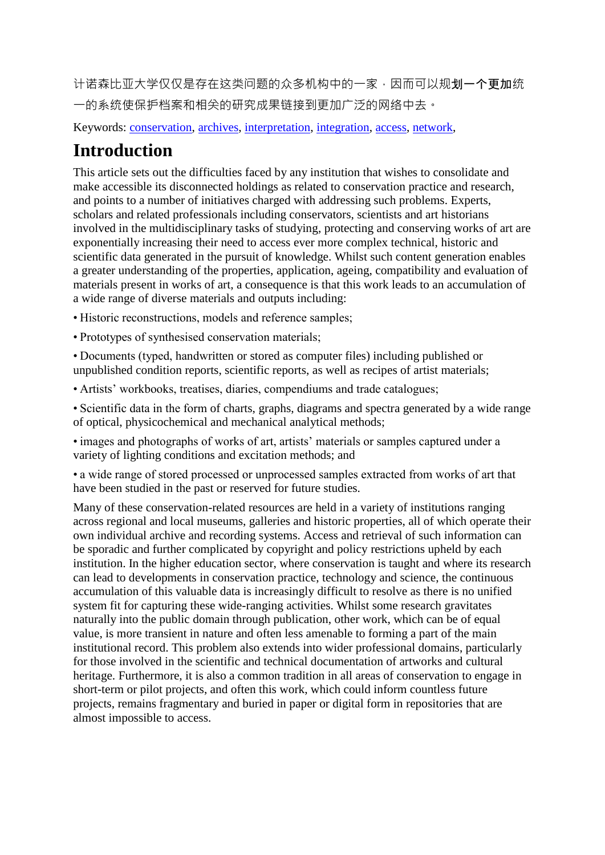计诺森比亚大学仅仅是存在这类问题的众多机构中的一家,因而可以规划一个更加统 一的系统使保护档案和相关的研究成果链接到更加广泛的网络中去。

Keywords: [conservation,](file:///F:/keyword/Conservation) [archives,](file:///F:/keyword/Archives) [interpretation,](file:///F:/keyword/Interpretation) [integration,](file:///F:/keyword/Integration) [access,](file:///F:/keyword/Access) [network,](file:///F:/keyword/Network)

# **Introduction**

This article sets out the difficulties faced by any institution that wishes to consolidate and make accessible its disconnected holdings as related to conservation practice and research, and points to a number of initiatives charged with addressing such problems. Experts, scholars and related professionals including conservators, scientists and art historians involved in the multidisciplinary tasks of studying, protecting and conserving works of art are exponentially increasing their need to access ever more complex technical, historic and scientific data generated in the pursuit of knowledge. Whilst such content generation enables a greater understanding of the properties, application, ageing, compatibility and evaluation of materials present in works of art, a consequence is that this work leads to an accumulation of a wide range of diverse materials and outputs including:

- • Historic reconstructions, models and reference samples;
- • Prototypes of synthesised conservation materials;
- • Documents (typed, handwritten or stored as computer files) including published or unpublished condition reports, scientific reports, as well as recipes of artist materials;
- • Artists' workbooks, treatises, diaries, compendiums and trade catalogues;
- • Scientific data in the form of charts, graphs, diagrams and spectra generated by a wide range of optical, physicochemical and mechanical analytical methods;
- images and photographs of works of art, artists' materials or samples captured under a variety of lighting conditions and excitation methods; and
- • a wide range of stored processed or unprocessed samples extracted from works of art that have been studied in the past or reserved for future studies.

Many of these conservation-related resources are held in a variety of institutions ranging across regional and local museums, galleries and historic properties, all of which operate their own individual archive and recording systems. Access and retrieval of such information can be sporadic and further complicated by copyright and policy restrictions upheld by each institution. In the higher education sector, where conservation is taught and where its research can lead to developments in conservation practice, technology and science, the continuous accumulation of this valuable data is increasingly difficult to resolve as there is no unified system fit for capturing these wide-ranging activities. Whilst some research gravitates naturally into the public domain through publication, other work, which can be of equal value, is more transient in nature and often less amenable to forming a part of the main institutional record. This problem also extends into wider professional domains, particularly for those involved in the scientific and technical documentation of artworks and cultural heritage. Furthermore, it is also a common tradition in all areas of conservation to engage in short-term or pilot projects, and often this work, which could inform countless future projects, remains fragmentary and buried in paper or digital form in repositories that are almost impossible to access.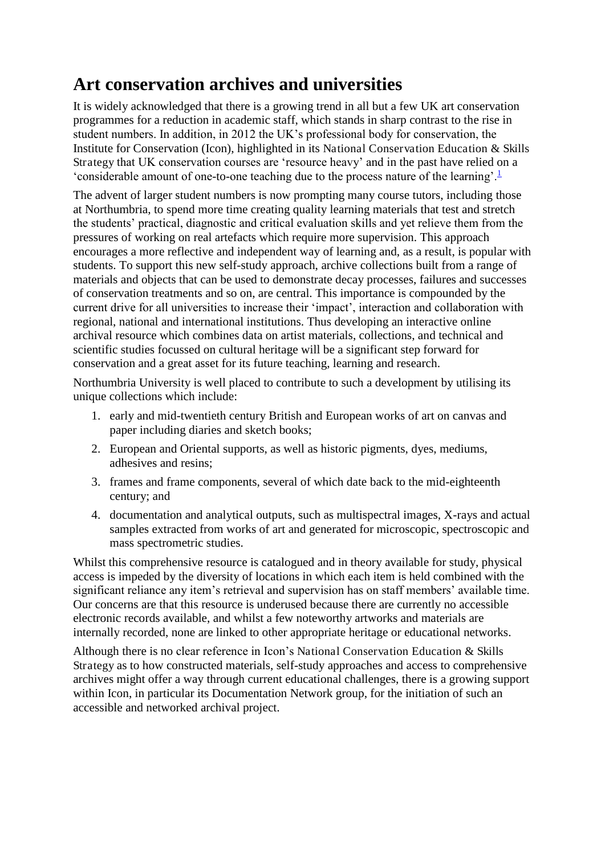## **Art conservation archives and universities**

It is widely acknowledged that there is a growing trend in all but a few UK art conservation programmes for a reduction in academic staff, which stands in sharp contrast to the rise in student numbers. In addition, in 2012 the UK's professional body for conservation, the Institute for Conservation (Icon), highlighted in its National Conservation Education & Skills Strategy that UK conservation courses are 'resource heavy' and in the past have relied on a 'considerable amount of one-to-one teaching due to the process nature of the learning'.<sup>[1](javascript:popRef()</sup>

The advent of larger student numbers is now prompting many course tutors, including those at Northumbria, to spend more time creating quality learning materials that test and stretch the students' practical, diagnostic and critical evaluation skills and yet relieve them from the pressures of working on real artefacts which require more supervision. This approach encourages a more reflective and independent way of learning and, as a result, is popular with students. To support this new self-study approach, archive collections built from a range of materials and objects that can be used to demonstrate decay processes, failures and successes of conservation treatments and so on, are central. This importance is compounded by the current drive for all universities to increase their 'impact', interaction and collaboration with regional, national and international institutions. Thus developing an interactive online archival resource which combines data on artist materials, collections, and technical and scientific studies focussed on cultural heritage will be a significant step forward for conservation and a great asset for its future teaching, learning and research.

Northumbria University is well placed to contribute to such a development by utilising its unique collections which include:

- 1. early and mid-twentieth century British and European works of art on canvas and paper including diaries and sketch books;
- 2. European and Oriental supports, as well as historic pigments, dyes, mediums, adhesives and resins;
- 3. frames and frame components, several of which date back to the mid-eighteenth century; and
- 4. documentation and analytical outputs, such as multispectral images, X-rays and actual samples extracted from works of art and generated for microscopic, spectroscopic and mass spectrometric studies.

Whilst this comprehensive resource is catalogued and in theory available for study, physical access is impeded by the diversity of locations in which each item is held combined with the significant reliance any item's retrieval and supervision has on staff members' available time. Our concerns are that this resource is underused because there are currently no accessible electronic records available, and whilst a few noteworthy artworks and materials are internally recorded, none are linked to other appropriate heritage or educational networks.

Although there is no clear reference in Icon's National Conservation Education & Skills Strategy as to how constructed materials, self-study approaches and access to comprehensive archives might offer a way through current educational challenges, there is a growing support within Icon, in particular its Documentation Network group, for the initiation of such an accessible and networked archival project.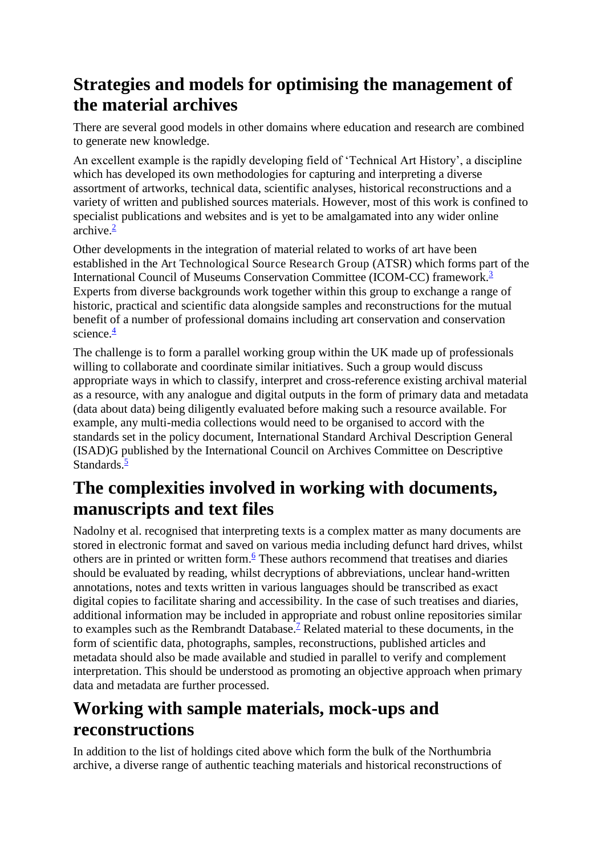# **Strategies and models for optimising the management of the material archives**

There are several good models in other domains where education and research are combined to generate new knowledge.

An excellent example is the rapidly developing field of 'Technical Art History', a discipline which has developed its own methodologies for capturing and interpreting a diverse assortment of artworks, technical data, scientific analyses, historical reconstructions and a variety of written and published sources materials. However, most of this work is confined to specialist publications and websites and is yet to be amalgamated into any wider online archive $\frac{2}{x}$  $\frac{2}{x}$  $\frac{2}{x}$ 

Other developments in the integration of material related to works of art have been established in the Art Technological Source Research Group (ATSR) which forms part of the International Council of Museums Conservation Committee (ICOM-CC) framework.<sup>[3](javascript:popRef()</sup> Experts from diverse backgrounds work together within this group to exchange a range of historic, practical and scientific data alongside samples and reconstructions for the mutual benefit of a number of professional domains including art conservation and conservation science. $\frac{4}{3}$  $\frac{4}{3}$  $\frac{4}{3}$ 

The challenge is to form a parallel working group within the UK made up of professionals willing to collaborate and coordinate similar initiatives. Such a group would discuss appropriate ways in which to classify, interpret and cross-reference existing archival material as a resource, with any analogue and digital outputs in the form of primary data and metadata (data about data) being diligently evaluated before making such a resource available. For example, any multi-media collections would need to be organised to accord with the standards set in the policy document, International Standard Archival Description General (ISAD)G published by the International Council on Archives Committee on Descriptive Standards.<sup>[5](javascript:popRef()</sup>

## **The complexities involved in working with documents, manuscripts and text files**

Nadolny et al. recognised that interpreting texts is a complex matter as many documents are stored in electronic format and saved on various media including defunct hard drives, whilst others are in printed or written form.<sup>[6](javascript:popRef()</sup> These authors recommend that treatises and diaries should be evaluated by reading, whilst decryptions of abbreviations, unclear hand-written annotations, notes and texts written in various languages should be transcribed as exact digital copies to facilitate sharing and accessibility. In the case of such treatises and diaries, additional information may be included in appropriate and robust online repositories similar to examples such as the Rembrandt Database.<sup> $7$ </sup> Related material to these documents, in the form of scientific data, photographs, samples, reconstructions, published articles and metadata should also be made available and studied in parallel to verify and complement interpretation. This should be understood as promoting an objective approach when primary data and metadata are further processed.

# **Working with sample materials, mock-ups and reconstructions**

In addition to the list of holdings cited above which form the bulk of the Northumbria archive, a diverse range of authentic teaching materials and historical reconstructions of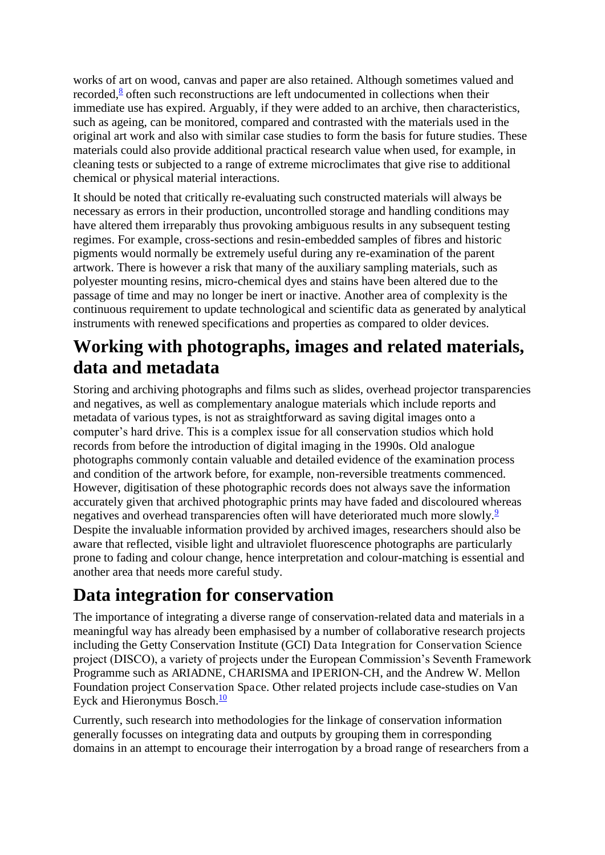works of art on wood, canvas and paper are also retained. Although sometimes valued and recorded, $8$  often such reconstructions are left undocumented in collections when their immediate use has expired. Arguably, if they were added to an archive, then characteristics, such as ageing, can be monitored, compared and contrasted with the materials used in the original art work and also with similar case studies to form the basis for future studies. These materials could also provide additional practical research value when used, for example, in cleaning tests or subjected to a range of extreme microclimates that give rise to additional chemical or physical material interactions.

It should be noted that critically re-evaluating such constructed materials will always be necessary as errors in their production, uncontrolled storage and handling conditions may have altered them irreparably thus provoking ambiguous results in any subsequent testing regimes. For example, cross-sections and resin-embedded samples of fibres and historic pigments would normally be extremely useful during any re-examination of the parent artwork. There is however a risk that many of the auxiliary sampling materials, such as polyester mounting resins, micro-chemical dyes and stains have been altered due to the passage of time and may no longer be inert or inactive. Another area of complexity is the continuous requirement to update technological and scientific data as generated by analytical instruments with renewed specifications and properties as compared to older devices.

# **Working with photographs, images and related materials, data and metadata**

Storing and archiving photographs and films such as slides, overhead projector transparencies and negatives, as well as complementary analogue materials which include reports and metadata of various types, is not as straightforward as saving digital images onto a computer's hard drive. This is a complex issue for all conservation studios which hold records from before the introduction of digital imaging in the 1990s. Old analogue photographs commonly contain valuable and detailed evidence of the examination process and condition of the artwork before, for example, non-reversible treatments commenced. However, digitisation of these photographic records does not always save the information accurately given that archived photographic prints may have faded and discoloured whereas negatives and overhead transparencies often will have deteriorated much more slowly.<sup>[9](javascript:popRef()</sup> Despite the invaluable information provided by archived images, researchers should also be aware that reflected, visible light and ultraviolet fluorescence photographs are particularly prone to fading and colour change, hence interpretation and colour-matching is essential and another area that needs more careful study.

# **Data integration for conservation**

The importance of integrating a diverse range of conservation-related data and materials in a meaningful way has already been emphasised by a number of collaborative research projects including the Getty Conservation Institute (GCI) Data Integration for Conservation Science project (DISCO), a variety of projects under the European Commission's Seventh Framework Programme such as ARIADNE, CHARISMA and IPERION-CH, and the Andrew W. Mellon Foundation project Conservation Space. Other related projects include case-studies on Van Eyck and Hieronymus Bosch.<sup>[10](javascript:popRef()</sup>

Currently, such research into methodologies for the linkage of conservation information generally focusses on integrating data and outputs by grouping them in corresponding domains in an attempt to encourage their interrogation by a broad range of researchers from a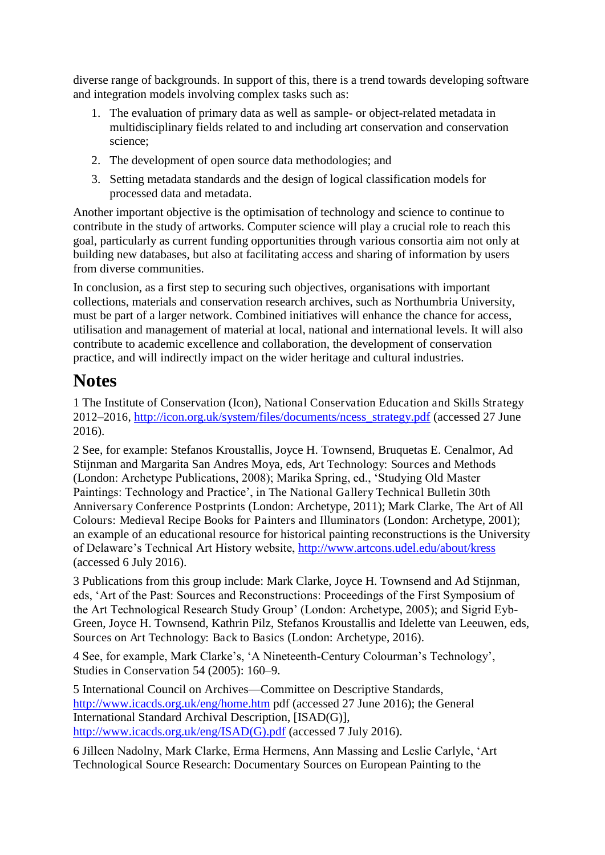diverse range of backgrounds. In support of this, there is a trend towards developing software and integration models involving complex tasks such as:

- 1. The evaluation of primary data as well as sample- or object-related metadata in multidisciplinary fields related to and including art conservation and conservation science;
- 2. The development of open source data methodologies; and
- 3. Setting metadata standards and the design of logical classification models for processed data and metadata.

Another important objective is the optimisation of technology and science to continue to contribute in the study of artworks. Computer science will play a crucial role to reach this goal, particularly as current funding opportunities through various consortia aim not only at building new databases, but also at facilitating access and sharing of information by users from diverse communities.

In conclusion, as a first step to securing such objectives, organisations with important collections, materials and conservation research archives, such as Northumbria University, must be part of a larger network. Combined initiatives will enhance the chance for access, utilisation and management of material at local, national and international levels. It will also contribute to academic excellence and collaboration, the development of conservation practice, and will indirectly impact on the wider heritage and cultural industries.

### **Notes**

1 The Institute of Conservation (Icon), National Conservation Education and Skills Strategy 2012*–*2016, [http://icon.org.uk/system/files/documents/ncess\\_strategy.pdf](http://icon.org.uk/system/files/documents/ncess_strategy.pdf) (accessed 27 June 2016).

2 See, for example: Stefanos Kroustallis, Joyce H. Townsend, Bruquetas E. Cenalmor, Ad Stijnman and Margarita San Andres Moya, eds, Art Technology: Sources and Methods (London: Archetype Publications, 2008); Marika Spring, ed., 'Studying Old Master Paintings: Technology and Practice', in The National Gallery Technical Bulletin 30th Anniversary Conference Postprints (London: Archetype, 2011); Mark Clarke, The Art of All Colours: Medieval Recipe Books for Painters and Illuminators (London: Archetype, 2001); an example of an educational resource for historical painting reconstructions is the University of Delaware's Technical Art History website, <http://www.artcons.udel.edu/about/kress> (accessed 6 July 2016).

3 Publications from this group include: Mark Clarke, Joyce H. Townsend and Ad Stijnman, eds, 'Art of the Past: Sources and Reconstructions: Proceedings of the First Symposium of the Art Technological Research Study Group' (London: Archetype, 2005); and Sigrid Eyb-Green, Joyce H. Townsend, Kathrin Pilz, Stefanos Kroustallis and Idelette van Leeuwen, eds, Sources on Art Technology: Back to Basics (London: Archetype, 2016).

4 See, for example, Mark Clarke's, 'A Nineteenth-Century Colourman's Technology', Studies in Conservation 54 (2005): 160–9.

5 International Council on Archives—Committee on Descriptive Standards, <http://www.icacds.org.uk/eng/home.htm>pdf (accessed 27 June 2016); the General International Standard Archival Description, [ISAD(G)], [http://www.icacds.org.uk/eng/ISAD\(G\).pdf](http://www.icacds.org.uk/eng/ISAD(G).pdf) (accessed 7 July 2016).

6 Jilleen Nadolny, Mark Clarke, Erma Hermens, Ann Massing and Leslie Carlyle, 'Art Technological Source Research: Documentary Sources on European Painting to the